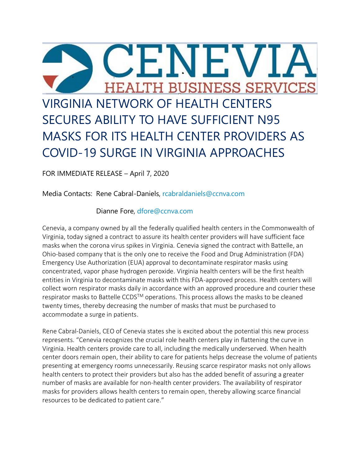

FOR IMMEDIATE RELEASE – April 7, 2020

Media Contacts: Rene Cabral-Daniels, [rcabraldaniels@ccnva.com](mailto:rcabraldaniels@ccnva.com)

## Dianne Fore, [dfore@ccnva.com](mailto:dfore@ccnva.com)

Cenevia, a company owned by all the federally qualified health centers in the Commonwealth of Virginia, today signed a contract to assure its health center providers will have sufficient face masks when the corona virus spikes in Virginia. Cenevia signed the contract with Battelle, an Ohio-based company that is the only one to receive the Food and Drug Administration (FDA) Emergency Use Authorization (EUA) approval to decontaminate respirator masks using concentrated, vapor phase hydrogen peroxide. Virginia health centers will be the first health entities in Virginia to decontaminate masks with this FDA-approved process. Health centers will collect worn respirator masks daily in accordance with an approved procedure and courier these respirator masks to Battelle CCDS<sup>TM</sup> operations. This process allows the masks to be cleaned twenty times, thereby decreasing the number of masks that must be purchased to accommodate a surge in patients.

Rene Cabral-Daniels, CEO of Cenevia states she is excited about the potential this new process represents. "Cenevia recognizes the crucial role health centers play in flattening the curve in Virginia. Health centers provide care to all, including the medically underserved. When health center doors remain open, their ability to care for patients helps decrease the volume of patients presenting at emergency rooms unnecessarily. Reusing scarce respirator masks not only allows health centers to protect their providers but also has the added benefit of assuring a greater number of masks are available for non-health center providers. The availability of respirator masks for providers allows health centers to remain open, thereby allowing scarce financial resources to be dedicated to patient care."